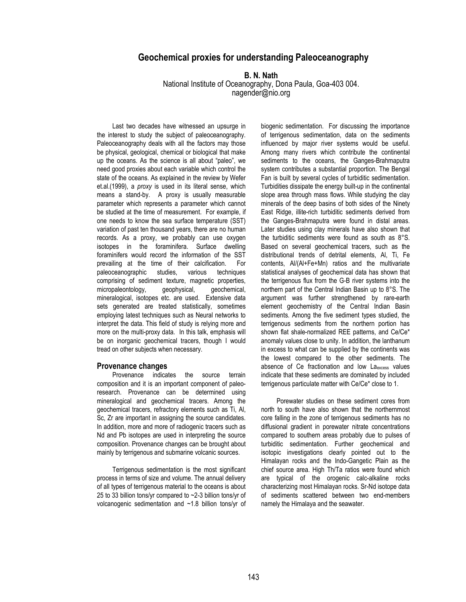# **Geochemical proxies for understanding Paleoceanography**

**B. N. Nath** 

National Institute of Oceanography, Dona Paula, Goa-403 004. nagender@nio.org

Last two decades have witnessed an upsurge in the interest to study the subject of paleoceanography. Paleoceanography deals with all the factors may those be physical, geological, chemical or biological that make up the oceans. As the science is all about "paleo", we need good proxies about each variable which control the state of the oceans. As explained in the review by Wefer et.al.(1999), a *proxy* is used in its literal sense, which means a stand-by. A proxy is usually measurable parameter which represents a parameter which cannot be studied at the time of measurement. For example, if one needs to know the sea surface temperature (SST) variation of past ten thousand years, there are no human records. As a proxy, we probably can use oxygen isotopes in the foraminifera. Surface dwelling foraminifers would record the information of the SST prevailing at the time of their calcification. For paleoceanographic studies, various techniques comprising of sediment texture, magnetic properties, micropaleontology, geophysical, geochemical, mineralogical, isotopes etc. are used. Extensive data sets generated are treated statistically, sometimes employing latest techniques such as Neural networks to interpret the data. This field of study is relying more and more on the multi-proxy data. In this talk, emphasis will be on inorganic geochemical tracers, though I would tread on other subjects when necessary.

## **Provenance changes**

Provenance indicates the source terrain composition and it is an important component of paleoresearch. Provenance can be determined using mineralogical and geochemical tracers. Among the geochemical tracers, refractory elements such as Ti, Al, Sc, Zr are important in assigning the source candidates. In addition, more and more of radiogenic tracers such as Nd and Pb isotopes are used in interpreting the source composition. Provenance changes can be brought about mainly by terrigenous and submarine volcanic sources.

Terrigenous sedimentation is the most significant process in terms of size and volume. The annual delivery of all types of terrigenous material to the oceans is about 25 to 33 billion tons/yr compared to ~2-3 billion tons/yr of volcanogenic sedimentation and ~1.8 billion tons/yr of biogenic sedimentation. For discussing the importance of terrigenous sedimentation, data on the sediments influenced by major river systems would be useful. Among many rivers which contribute the continental sediments to the oceans, the Ganges-Brahmaputra system contributes a substantial proportion. The Bengal Fan is built by several cycles of turbiditic sedimentation. Turbidities dissipate the energy built-up in the continental slope area through mass flows. While studying the clay minerals of the deep basins of both sides of the Ninety East Ridge, illite-rich turbiditic sediments derived from the Ganges-Brahmaputra were found in distal areas. Later studies using clay minerals have also shown that the turbiditic sediments were found as south as 8°S. Based on several geochemical tracers, such as the distributional trends of detrital elements, Al, Ti, Fe contents, Al/(Al+Fe+Mn) ratios and the multivariate statistical analyses of geochemical data has shown that the terrigenous flux from the G-B river systems into the northern part of the Central Indian Basin up to 8°S. The argument was further strengthened by rare-earth element geochemistry of the Central Indian Basin sediments. Among the five sediment types studied, the terrigenous sediments from the northern portion has shown flat shale-normalized REE patterns, and Ce/Ce\* anomaly values close to unity. In addition, the lanthanum in excess to what can be supplied by the continents was the lowest compared to the other sediments. The absence of Ce fractionation and low Laexcess values indicate that these sediments are dominated by included terrigenous particulate matter with Ce/Ce\* close to 1.

Porewater studies on these sediment cores from north to south have also shown that the northernmost core falling in the zone of terrigenous sediments has no diffusional gradient in porewater nitrate concentrations compared to southern areas probably due to pulses of turbiditic sedimentation. Further geochemical and isotopic investigations clearly pointed out to the Himalayan rocks and the Indo-Gangetic Plain as the chief source area. High Th/Ta ratios were found which are typical of the orogenic calc-alkaline rocks characterizing most Himalayan rocks. Sr-Nd isotope data of sediments scattered between two end-members namely the Himalaya and the seawater.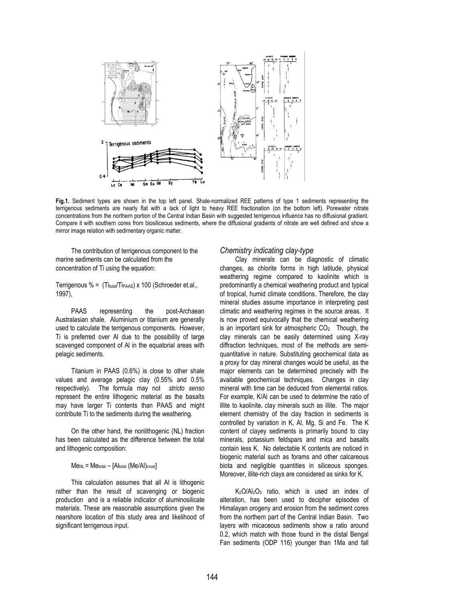

**Fig.1.** Sediment types are shown in the top left panel. Shale-normalized REE patterns of type 1 sediments representing the terrigenous sediments are nearly flat with a lack of light to heavy REE fractionation (on the bottom left). Porewater nitrate concentrations from the northern portion of the Central Indian Basin with suggested terrigenous influence has no diffusional gradient. Compare it with southern cores from biosiliceous sediments, where the diffusional gradients of nitrate are well defined and show a mirror image relation with sedimentary organic matter.

The contribution of terrigenous component to the marine sediments can be calculated from the concentration of Ti using the equation:

Terrigenous  $% = (Ti_{total}/Ti_{PAdS}) \times 100$  (Schroeder et.al., 1997),

PAAS representing the post-Archaean Australasian shale. Aluminium or titanium are generally used to calculate the terrigenous components. However, Ti is preferred over Al due to the possibility of large scavenged component of Al in the equatorial areas with pelagic sediments.

Titanium in PAAS (0.6%) is close to other shale values and average pelagic clay (0.55% and 0.5% respectively). The formula may not *stricto senso* represent the entire lithogenic material as the basalts may have larger Ti contents than PAAS and might contribute Ti to the sediments during the weathering.

On the other hand, the nonlithogenic (NL) fraction has been calculated as the difference between the total and lithogenic composition:

 $M$ e<sub>NL</sub> = Me<sub>total</sub> – [Altotal (Me/Al)<sub>crust</sub>]

This calculation assumes that all Al is lithogenic rather than the result of scavenging or biogenic production and is a reliable indicator of aluminosilicate materials. These are reasonable assumptions given the nearshore location of this study area and likelihood of significant terrigenous input.

## *Chemistry indicating clay-type*

Clay minerals can be diagnostic of climatic changes, as chlorite forms in high latitude, physical weathering regime compared to kaolinite which is predominantly a chemical weathering product and typical of tropical, humid climate conditions. Therefore, the clay mineral studies assume importance in interpreting past climatic and weathering regimes in the source areas. It is now proved equivocally that the chemical weathering is an important sink for atmospheric CO2. Though, the clay minerals can be easily determined using X-ray diffraction techniques, most of the methods are semiquantitative in nature. Substituting geochemical data as a proxy for clay mineral changes would be useful, as the major elements can be determined precisely with the available geochemical techniques. Changes in clay mineral with time can be deduced from elemental ratios. For example, K/Al can be used to determine the ratio of illite to kaolinite**.** clay minerals such as illite. The major element chemistry of the clay fraction in sediments is controlled by variation in K, Al, Mg, Si and Fe. The K content of clayey sediments is primarily bound to clay minerals, potassium feldspars and mica and basalts contain less K. No detectable K contents are noticed in biogenic material such as forams and other calcareous biota and negligible quantities in siliceous sponges. Moreover, illite-rich clays are considered as sinks for K.

K2O/Al2O3 ratio, which is used an index of alteration, has been used to decipher episodes of Himalayan orogeny and erosion from the sediment cores from the northern part of the Central Indian Basin. Two layers with micaceous sediments show a ratio around 0.2, which match with those found in the distal Bengal Fan sediments (ODP 116) younger than 1Ma and fall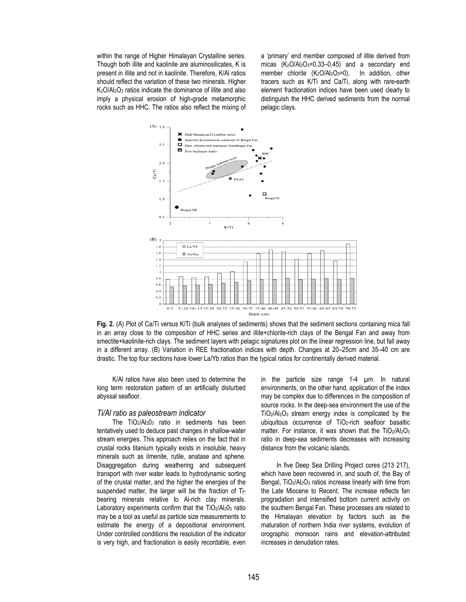within the range of Higher Himalayan Crystalline series. Though both illite and kaolinite are aluminosilicates, K is present in illite and not in kaolinite. Therefore, K/Al ratios should reflect the variation of these two minerals. Higher K<sub>2</sub>O/Al<sub>2</sub>O<sub>3</sub> ratios indicate the dominance of illite and also imply a physical erosion of high-grade metamorphic rocks such as HHC. The ratios also reflect the mixing of a 'primary' end member composed of illite derived from micas  $(K_2O/Al_2O_3=0.33-0.45)$  and a secondary end member chlorite (K<sub>2</sub>O/Al<sub>2</sub>O<sub>3</sub>=0). In addition, other tracers such as K/Ti and Ca/Ti, along with rare-earth element fractionation indices have been used clearly to distinguish the HHC derived sediments from the normal pelagic clays.



**Fig. 2.** (A) Plot of Ca/Ti versus K/Ti (bulk analyses of sediments) shows that the sediment sections containing mica fall in an array close to the composition of HHC series and illite+chlorite-rich clays of the Bengal Fan and away from smectite+kaolinite-rich clays. The sediment layers with pelagic signatures plot on the linear regression line, but fall away in a different array. (B) Variation in REE fractionation indices with depth. Changes at 20–25cm and 35–40 cm are drastic. The top four sections have lower La/Yb ratios than the typical ratios for continentally derived material.

K/Al ratios have also been used to determine the long term restoration pattern of an artificially disturbed abyssal seafloor.

*Ti/Al ratio as paleostream indicator*<br>The TiO<sub>2</sub>/Al<sub>2</sub>0<sub>3</sub> ratio in sediments has been tentatively used to deduce past changes in shallow-water stream energies. This approach relies on the fact that in crustal rocks titanium typically exists in insoluble, heavy minerals such as ilmenite, rutile, anatase and sphene. Disaggregation during weathering and subsequent transport with river water leads to hydrodynamic sorting of the crustal matter, and the higher the energies of the suspended matter, the larger will be the fraction of Tibearing minerals relative to Al-rich clay minerals. Laboratory experiments confirm that the  $TiO<sub>2</sub>/Al<sub>2</sub>O<sub>3</sub>$  ratio may be a tool as useful as particle size measurements to estimate the energy of a depositional environment. Under controlled conditions the resolution of the indicator is very high, and fractionation is easily recordable, even in the particle size range 1-4 µm. In natural environments, on the other hand, application of the index may be complex due to differences in the composition of source rocks. In the deep-sea environment the use of the TiO2/Al2O3 stream energy index is complicated by the ubiquitous occurrence of TiO2-rich seafloor basaltic matter. For instance, it was shown that the TiO2/Al2O3 ratio in deep-sea sediments decreases with increasing distance from the volcanic islands.

In five Deep Sea Drilling Project cores (213 217), which have been recovered in, and south of, the Bay of Bengal, TiO<sub>2</sub>/Al<sub>2</sub>O<sub>3</sub> ratios increase linearly with time from the Late Miocene to Recent. The increase reflects fan progradation and intensified bottom current activity on the southern Bengal Fan. These processes are related to the Himalayan elevation by factors such as the maturation of northern India river systems, evolution of orographic monsoon rains and elevation-attributed increases in denudation rates.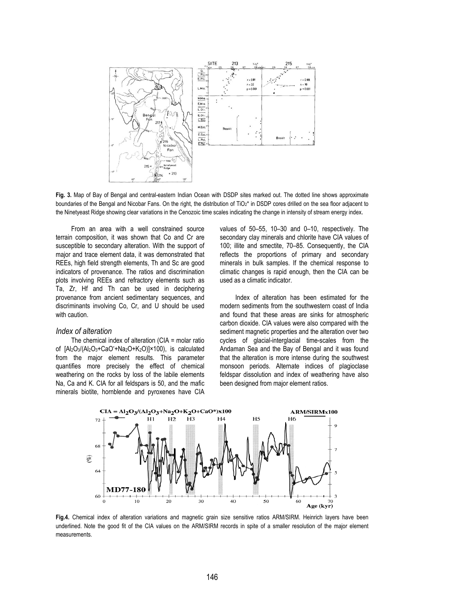

**Fig. 3.** Map of Bay of Bengal and central-eastern Indian Ocean with DSDP sites marked out. The dotted line shows approximate boundaries of the Bengal and Nicobar Fans. On the right, the distribution of TiO<sub>2</sub>\* in DSDP cores drilled on the sea floor adjacent to the Ninetyeast Ridge showing clear variations in the Cenozoic time scales indicating the change in intensity of stream energy index.

From an area with a well constrained source terrain composition, it was shown that Co and Cr are susceptible to secondary alteration. With the support of major and trace element data, it was demonstrated that REEs, high field strength elements, Th and Sc are good indicators of provenance. The ratios and discrimination plots involving REEs and refractory elements such as Ta, Zr, Hf and Th can be used in deciphering provenance from ancient sedimentary sequences, and discriminants involving Co, Cr, and U should be used with caution.

# *Index of alteration*

The chemical index of alteration (CIA = molar ratio of [Al2O3/(Al2O3+CaO\* +Na2O+K2O)]×100), is calculated from the major element results. This parameter quantifies more precisely the effect of chemical weathering on the rocks by loss of the labile elements Na, Ca and K. CIA for all feldspars is 50, and the mafic minerals biotite, hornblende and pyroxenes have CIA values of 50–55, 10–30 and 0–10, respectively. The secondary clay minerals and chlorite have CIA values of 100; illite and smectite, 70–85. Consequently, the CIA reflects the proportions of primary and secondary minerals in bulk samples. If the chemical response to climatic changes is rapid enough, then the CIA can be used as a climatic indicator.

Index of alteration has been estimated for the modern sediments from the southwestern coast of India and found that these areas are sinks for atmospheric carbon dioxide. CIA values were also compared with the sediment magnetic properties and the alteration over two cycles of glacial-interglacial time-scales from the Andaman Sea and the Bay of Bengal and it was found that the alteration is more intense during the southwest monsoon periods. Alternate indices of plagioclase feldspar dissolution and index of weathering have also been designed from major element ratios.



**Fig.4.** Chemical index of alteration variations and magnetic grain size sensitive ratios ARM/SIRM. Heinrich layers have been underlined. Note the good fit of the CIA values on the ARM/SIRM records in spite of a smaller resolution of the major element measurements.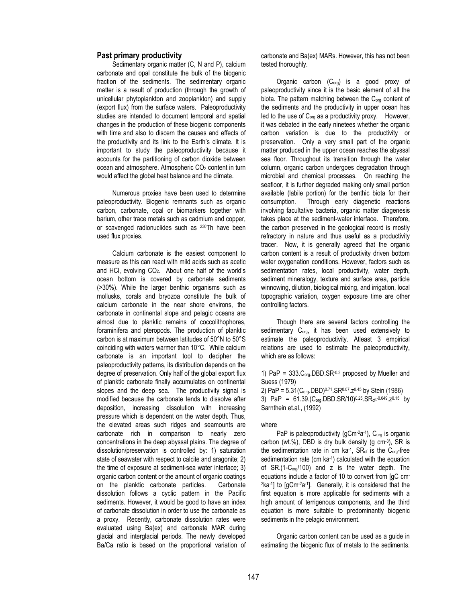# **Past primary productivity**

Sedimentary organic matter (C, N and P), calcium carbonate and opal constitute the bulk of the biogenic fraction of the sediments. The sedimentary organic matter is a result of production (through the growth of unicellular phytoplankton and zooplankton) and supply (export flux) from the surface waters. Paleoproductivity studies are intended to document temporal and spatial changes in the production of these biogenic components with time and also to discern the causes and effects of the productivity and its link to the Earth's climate. It is important to study the paleoproductivity because it accounts for the partitioning of carbon dioxide between ocean and atmosphere. Atmospheric CO<sub>2</sub> content in turn would affect the global heat balance and the climate.

Numerous proxies have been used to determine paleoproductivity. Biogenic remnants such as organic carbon, carbonate, opal or biomarkers together with barium, other trace metals such as cadmium and copper, or scavenged radionuclides such as 230Th have been used flux proxies.

Calcium carbonate is the easiest component to measure as this can react with mild acids such as acetic and HCl, evolving  $CO<sub>2</sub>$ . About one half of the world's ocean bottom is covered by carbonate sediments (>30%). While the larger benthic organisms such as mollusks, corals and bryozoa constitute the bulk of calcium carbonate in the near shore environs, the carbonate in continental slope and pelagic oceans are almost due to planktic remains of coccolithophores, foraminifera and pteropods. The production of planktic carbon is at maximum between latitudes of 50°N to 50°S coinciding with waters warmer than 10°C. While calcium carbonate is an important tool to decipher the paleoproductivity patterns, its distribution depends on the degree of preservation. Only half of the global export flux of planktic carbonate finally accumulates on continental slopes and the deep sea. The productivity signal is modified because the carbonate tends to dissolve after deposition, increasing dissolution with increasing pressure which is dependent on the water depth. Thus, the elevated areas such ridges and seamounts are carbonate rich in comparison to nearly zero concentrations in the deep abyssal plains. The degree of dissolution/preservation is controlled by: 1) saturation state of seawater with respect to calcite and aragonite; 2) the time of exposure at sediment-sea water interface; 3) organic carbon content or the amount of organic coatings on the planktic carbonate particles. Carbonate dissolution follows a cyclic pattern in the Pacific sediments. However, it would be good to have an index of carbonate dissolution in order to use the carbonate as a proxy. Recently, carbonate dissolution rates were evaluated using Ba(ex) and carbonate MAR during glacial and interglacial periods. The newly developed Ba/Ca ratio is based on the proportional variation of carbonate and Ba(ex) MARs. However, this has not been tested thoroughly.

Organic carbon (Corg) is a good proxy of paleoproductivity since it is the basic element of all the biota. The pattern matching between the C<sub>org</sub> content of the sediments and the productivity in upper ocean has led to the use of Corg as a productivity proxy. However, it was debated in the early ninetees whether the organic carbon variation is due to the productivity or preservation. Only a very small part of the organic matter produced in the upper ocean reaches the abyssal sea floor. Throughout its transition through the water column, organic carbon undergoes degradation through microbial and chemical processes. On reaching the seafloor, it is further degraded making only small portion available (labile portion) for the benthic biota for their consumption. Through early diagenetic reactions involving facultative bacteria, organic matter diagenesis takes place at the sediment-water interface. Therefore, the carbon preserved in the geological record is mostly refractory in nature and thus useful as a productivity tracer. Now, it is generally agreed that the organic carbon content is a result of productivity driven bottom water oxygenation conditions. However, factors such as sedimentation rates, local productivity, water depth, sediment mineralogy, texture and surface area, particle winnowing, dilution, biological mixing, and irrigation, local topographic variation, oxygen exposure time are other controlling factors.

Though there are several factors controlling the sedimentary C<sub>org</sub>, it has been used extensively to estimate the paleoproductivity. Atleast 3 empirical relations are used to estimate the paleoproductivity, which are as follows:

1) PaP =  $333.C<sub>ora</sub>$ .DBD.SR<sup>-0.3</sup> proposed by Mueller and Suess (1979)

2) PaP = 5.31(Corg.DBD)0.71.SR0.07.z0.45 by Stein (1986) 3) PaP =  $61.39 (C_{org}.DBD.SR/10)^{0.25} S R_{cf}.0.049 Z^{0.15}$  by Sarnthein et.al., (1992)

### where

PaP is paleoproductivity ( $g$ Cm- $2a^{-1}$ ), C<sub>org</sub> is organic carbon (wt.%), DBD is dry bulk density (g  $cm^{-3}$ ), SR is the sedimentation rate in cm  $ka^{-1}$ ,  $SR<sub>cf</sub>$  is the  $C<sub>org</sub>$ -free sedimentation rate (cm ka-1) calculated with the equation of SR.(1-Corg/100) and z is the water depth. The equations include a factor of 10 to convert from [gC cm-2ka-1] to [gCm-2a-1]. Generally, it is considered that the first equation is more applicable for sediments with a high amount of terrigenous components, and the third equation is more suitable to predominantly biogenic sediments in the pelagic environment.

Organic carbon content can be used as a guide in estimating the biogenic flux of metals to the sediments.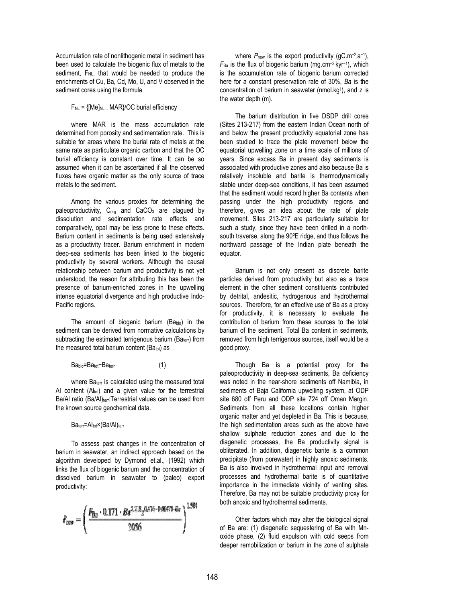Accumulation rate of nonlithogenic metal in sediment has been used to calculate the biogenic flux of metals to the sediment, F<sub>NL</sub>, that would be needed to produce the enrichments of Cu, Ba, Cd, Mo, U, and V observed in the sediment cores using the formula

 $F_{NL} = \{ [Me]_{NL}$ . MAR $\}$ /OC burial efficiency

where MAR is the mass accumulation rate determined from porosity and sedimentation rate. This is suitable for areas where the burial rate of metals at the same rate as particulate organic carbon and that the OC burial efficiency is constant over time. It can be so assumed when it can be ascertained if all the observed fluxes have organic matter as the only source of trace metals to the sediment.

Among the various proxies for determining the paleoproductivity,  $C_{ora}$  and  $CaCO<sub>3</sub>$  are plaqued by dissolution and sedimentation rate effects and comparatively, opal may be less prone to these effects. Barium content in sediments is being used extensively as a productivity tracer. Barium enrichment in modern deep-sea sediments has been linked to the biogenic productivity by several workers. Although the causal relationship between barium and productivity is not yet understood, the reason for attributing this has been the presence of barium-enriched zones in the upwelling intense equatorial divergence and high productive Indo-Pacific regions.

The amount of biogenic barium (Babio) in the sediment can be derived from normative calculations by subtracting the estimated terrigenous barium ( $Ba<sub>ter</sub>$ ) from the measured total barium content ( $Ba<sub>tot</sub>$ ) as

$$
Babio=Batot-Batern
$$
 (1)

where Ba<sub>terr</sub> is calculated using the measured total Al content  $(AI_{tot})$  and a given value for the terrestrial Ba/Al ratio (Ba/Al)<sub>terr</sub>:Terrestrial values can be used from the known source geochemical data.

Baterr=Altot<sup>x</sup>(Ba/Al)terr

To assess past changes in the concentration of barium in seawater, an indirect approach based on the algorithm developed by Dymond et.al., (1992) which links the flux of biogenic barium and the concentration of dissolved barium in seawater to (paleo) export productivity:

$$
P_{\text{new}} = \left(\frac{F_{Ba} \cdot 0.171 \cdot Ba^{2.218}z^{0.476 - 0.00478 \cdot Ba}}{2056}\right)^{1.504}
$$

where *P*<sub>new</sub> is the export productivity (qC.m<sup>-2</sup>.a<sup>-1</sup>), *F*Ba is the flux of biogenic barium (mg.cm−2.kyr−1), which is the accumulation rate of biogenic barium corrected here for a constant preservation rate of 30%, *Ba* is the concentration of barium in seawater (nmol.kg1), and *z* is the water depth (m).

The barium distribution in five DSDP drill cores (Sites 213-217) from the eastern Indian Ocean north of and below the present productivity equatorial zone has been studied to trace the plate movement below the equatorial upwelling zone on a time scale of millions of years. Since excess Ba in present day sediments is associated with productive zones and also because Ba is relatively insoluble and barite is thermodynamically stable under deep-sea conditions, it has been assumed that the sediment would record higher Ba contents when passing under the high productivity regions and therefore, gives an idea about the rate of plate movement. Sites 213-217 are particularly suitable for such a study, since they have been drilled in a northsouth traverse, along the 90ºE ridge, and thus follows the northward passage of the Indian plate beneath the equator.

Barium is not only present as discrete barite particles derived from productivity but also as a trace element in the other sediment constituents contributed by detrital, andesitic, hydrogenous and hydrothermal sources. Therefore, for an effective use of Ba as a proxy for productivity, it is necessary to evaluate the contribution of barium from these sources to the total barium of the sediment. Total Ba content in sediments, removed from high terrigenous sources, itself would be a good proxy.

Though Ba is a potential proxy for the paleoproductivity in deep-sea sediments, Ba deficiency was noted in the near-shore sediments off Namibia, in sediments of Baja California upwelling system, at ODP site 680 off Peru and ODP site 724 off Oman Margin. Sediments from all these locations contain higher organic matter and yet depleted in Ba. This is because, the high sedimentation areas such as the above have shallow sulphate reduction zones and due to the diagenetic processes, the Ba productivity signal is obliterated. In addition, diagenetic barite is a common precipitate (from porewater) in highly anoxic sediments. Ba is also involved in hydrothermal input and removal processes and hydrothermal barite is of quantitative importance in the immediate vicinity of venting sites. Therefore, Ba may not be suitable productivity proxy for both anoxic and hydrothermal sediments.

Other factors which may alter the biological signal of Ba are: (1) diagenetic sequestering of Ba with Mnoxide phase, (2) fluid expulsion with cold seeps from deeper remobilization or barium in the zone of sulphate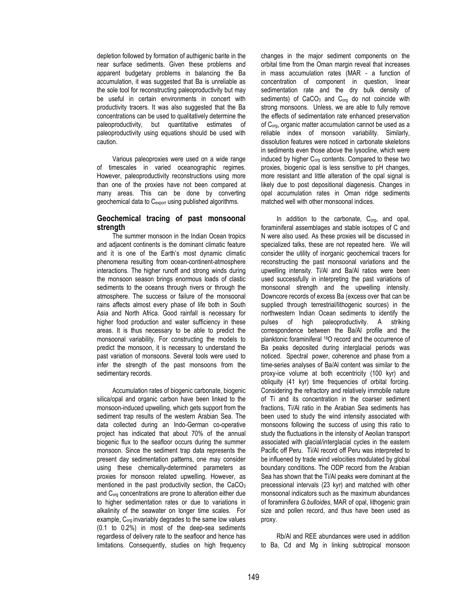depletion followed by formation of authigenic barite in the near surface sediments. Given these problems and apparent budgetary problems in balancing the Ba accumulation, it was suggested that Ba is unreliable as the sole tool for reconstructing paleoproductivity but may be useful in certain environments in concert with productivity tracers. It was also suggested that the Ba concentrations can be used to qualitatively determine the paleoproductivity, but quantitative estimates of paleoproductivity using equations should be used with caution.

Various paleoproxies were used on a wide range of timescales in varied oceanographic regimes. However, paleoproductivity reconstructions using more than one of the proxies have not been compared at many areas. This can be done by converting geochemical data to C<sub>export</sub> using published algorithms.

# **Geochemical tracing of past monsoonal strength**

The summer monsoon in the Indian Ocean tropics and adjacent continents is the dominant climatic feature and it is one of the Earth's most dynamic climatic phenomena resulting from ocean-continent-atmosphere interactions. The higher runoff and strong winds during the monsoon season brings enormous loads of clastic sediments to the oceans through rivers or through the atmosphere. The success or failure of the monsoonal rains affects almost every phase of life both in South Asia and North Africa. Good rainfall is necessary for higher food production and water sufficiency in these areas. It is thus necessary to be able to predict the monsoonal variability. For constructing the models to predict the monsoon, it is necessary to understand the past variation of monsoons. Several tools were used to infer the strength of the past monsoons from the sedimentary records.

Accumulation rates of biogenic carbonate, biogenic silica/opal and organic carbon have been linked to the monsoon-induced upwelling, which gets support from the sediment trap results of the western Arabian Sea. The data collected during an Indo-German co-operative project has indicated that about 70% of the annual biogenic flux to the seafloor occurs during the summer monsoon. Since the sediment trap data represents the present day sedimentation patterns, one may consider using these chemically-determined parameters as proxies for monsoon related upwelling. However, as mentioned in the past productivity section, the CaCO<sub>3</sub> and Corg concentrations are prone to alteration either due to higher sedimentation rates or due to variations in alkalinity of the seawater on longer time scales. For example, C<sub>org</sub> invariably degrades to the same low values (0.1 to 0.2%) in most of the deep-sea sediments regardless of delivery rate to the seafloor and hence has limitations. Consequently, studies on high frequency changes in the major sediment components on the orbital time from the Oman margin reveal that increases in mass accumulation rates (MAR - a function of concentration of component in question, linear sedimentation rate and the dry bulk density of sediments) of CaCO<sub>3</sub> and C<sub>org</sub> do not coincide with strong monsoons. Unless, we are able to fully remove the effects of sedimentation rate enhanced preservation of Corg, organic matter accumulation cannot be used as a reliable index of monsoon variability. Similarly, dissolution features were noticed in carbonate skeletons in sediments even those above the lysocline, which were induced by higher C<sub>org</sub> contents. Compared to these two proxies, biogenic opal is less sensitive to pH changes, more resistant and little alteration of the opal signal is likely due to post depositional diagenesis. Changes in opal accumulation rates in Oman ridge sediments matched well with other monsoonal indices.

In addition to the carbonate, C<sub>org</sub>, and opal, foraminiferal assemblages and stable isotopes of C and N were also used. As these proxies will be discussed in specialized talks, these are not repeated here. We will consider the utility of inorganic geochemical tracers for reconstructing the past monsoonal variations and the upwelling intensity. Ti/Al and Ba/Al ratios were been used successfully in interpreting the past variations of monsoonal strength and the upwelling intensity. Downcore records of excess Ba (excess over that can be supplied through terrestrial/lithogenic sources) in the northwestern Indian Ocean sediments to identify the pulses of high paleoproductivity. A striking correspondence between the Ba/Al profile and the planktonic foraminiferal 18O record and the occurrence of Ba peaks deposited during interglacial periods was noticed. Spectral power, coherence and phase from a time-series analyses of Ba/Al content was similar to the proxy-ice volume at both eccentricity (100 kyr) and obliquity (41 kyr) time frequencies of orbital forcing. Considering the refractory and relatively immobile nature of Ti and its concentration in the coarser sediment fractions, Ti/Al ratio in the Arabian Sea sediments has been used to study the wind intensity associated with monsoons following the success of using this ratio to study the fluctuations in the intensity of Aeolian transport associated with glacial/interglacial cycles in the eastern Pacific off Peru. Ti/Al record off Peru was interpreted to be influened by trade wind velocities modulated by global boundary conditions. The ODP record from the Arabian Sea has shown that the Ti/Al peaks were dominant at the precessional intervals (23 kyr) and matched with other monsoonal indicators such as the maximum abundances of foraminifera *G.bulloides*, MAR of opal, lithogenic grain size and pollen record, and thus have been used as proxy.

Rb/Al and REE abundances were used in addition to Ba, Cd and Mg in linking subtropical monsoon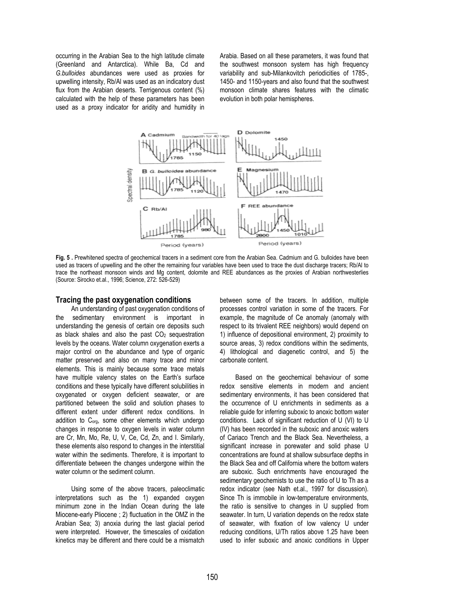occurring in the Arabian Sea to the high latitude climate (Greenland and Antarctica). While Ba, Cd and *G.bulloides* abundances were used as proxies for upwelling intensity, Rb/Al was used as an indicatory dust flux from the Arabian deserts. Terrigenous content (%) calculated with the help of these parameters has been used as a proxy indicator for aridity and humidity in Arabia. Based on all these parameters, it was found that the southwest monsoon system has high frequency variability and sub-Milankovitch periodicities of 1785-, 1450- and 1150-years and also found that the southwest monsoon climate shares features with the climatic evolution in both polar hemispheres.



**Fig. 5 .** Prewhitened spectra of geochemical tracers in a sediment core from the Arabian Sea. Cadmium and G. bulloides have been used as tracers of upwelling and the other the remaining four variables have been used to trace the dust discharge tracers; Rb/Al to trace the northeast monsoon winds and Mg content, dolomite and REE abundances as the proxies of Arabian northwesterlies (Source: Sirocko et.al., 1996; Science, 272: 526-529)

## **Tracing the past oxygenation conditions**

An understanding of past oxygenation conditions of the sedimentary environment is important in understanding the genesis of certain ore deposits such as black shales and also the past  $CO<sub>2</sub>$  sequestration levels by the oceans. Water column oxygenation exerts a major control on the abundance and type of organic matter preserved and also on many trace and minor elements. This is mainly because some trace metals have multiple valency states on the Earth's surface conditions and these typically have different solubilities in oxygenated or oxygen deficient seawater, or are partitioned between the solid and solution phases to different extent under different redox conditions. In addition to Corg, some other elements which undergo changes in response to oxygen levels in water column are Cr, Mn, Mo, Re, U, V, Ce, Cd, Zn, and I. Similarly, these elements also respond to changes in the interstitial water within the sediments. Therefore, it is important to differentiate between the changes undergone within the water column or the sediment column.

Using some of the above tracers, paleoclimatic interpretations such as the 1) expanded oxygen minimum zone in the Indian Ocean during the late Miocene-early Pliocene ; 2) fluctuation in the OMZ in the Arabian Sea; 3) anoxia during the last glacial period were interpreted. However, the timescales of oxidation kinetics may be different and there could be a mismatch between some of the tracers. In addition, multiple processes control variation in some of the tracers. For example, the magnitude of Ce anomaly (anomaly with respect to its trivalent REE neighbors) would depend on 1) influence of depositional environment, 2) proximity to source areas, 3) redox conditions within the sediments, 4) lithological and diagenetic control, and 5) the carbonate content.

Based on the geochemical behaviour of some redox sensitive elements in modern and ancient sedimentary environments, it has been considered that the occurrence of U enrichments in sediments as a reliable guide for inferring suboxic to anoxic bottom water conditions. Lack of significant reduction of U (VI) to U (IV) has been recorded in the suboxic and anoxic waters of Cariaco Trench and the Black Sea. Nevertheless, a significant increase in porewater and solid phase U concentrations are found at shallow subsurface depths in the Black Sea and off California where the bottom waters are suboxic. Such enrichments have encouraged the sedimentary geochemists to use the ratio of U to Th as a redox indicator (see Nath et.al., 1997 for discussion). Since Th is immobile in low-temperature environments, the ratio is sensitive to changes in U supplied from seawater. In turn, U variation depends on the redox state of seawater, with fixation of low valency U under reducing conditions, U/Th ratios above 1.25 have been used to infer suboxic and anoxic conditions in Upper